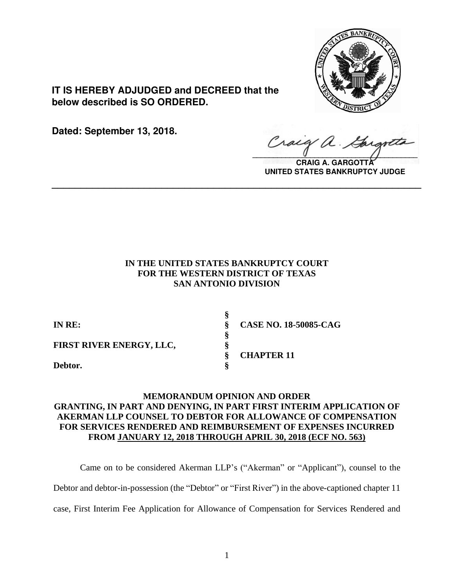

**IT IS HEREBY ADJUDGED and DECREED that the below described is SO ORDERED.**

**Dated: September 13, 2018.**

Craig a.

**CRAIG A. GARGOTT UNITED STATES BANKRUPTCY JUDGE**

# **IN THE UNITED STATES BANKRUPTCY COURT FOR THE WESTERN DISTRICT OF TEXAS SAN ANTONIO DIVISION**

**\_\_\_\_\_\_\_\_\_\_\_\_\_\_\_\_\_\_\_\_\_\_\_\_\_\_\_\_\_\_\_\_\_\_\_\_\_\_\_\_\_\_\_\_\_\_\_\_\_\_\_\_\_\_\_\_\_\_\_\_\_\_\_\_**

| IN RE:                   | <b>CASE NO. 18-50085-CAG</b> |
|--------------------------|------------------------------|
|                          |                              |
| FIRST RIVER ENERGY, LLC, |                              |
|                          | <b>CHAPTER 11</b>            |
| Debtor.                  |                              |

# **MEMORANDUM OPINION AND ORDER GRANTING, IN PART AND DENYING, IN PART FIRST INTERIM APPLICATION OF AKERMAN LLP COUNSEL TO DEBTOR FOR ALLOWANCE OF COMPENSATION FOR SERVICES RENDERED AND REIMBURSEMENT OF EXPENSES INCURRED FROM JANUARY 12, 2018 THROUGH APRIL 30, 2018 (ECF NO. 563)**

Came on to be considered Akerman LLP's ("Akerman" or "Applicant"), counsel to the Debtor and debtor-in-possession (the "Debtor" or "First River") in the above-captioned chapter 11 case, First Interim Fee Application for Allowance of Compensation for Services Rendered and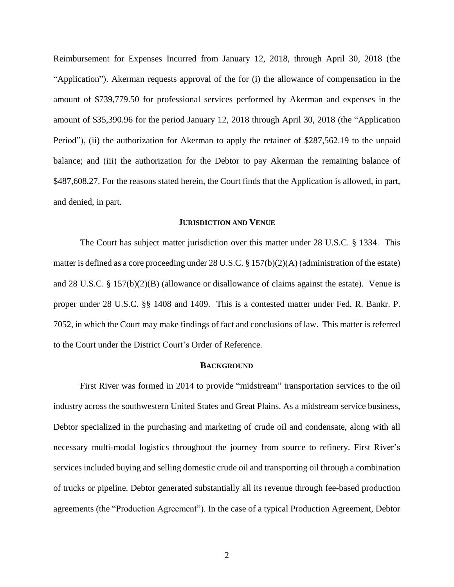Reimbursement for Expenses Incurred from January 12, 2018, through April 30, 2018 (the "Application"). Akerman requests approval of the for (i) the allowance of compensation in the amount of \$739,779.50 for professional services performed by Akerman and expenses in the amount of \$35,390.96 for the period January 12, 2018 through April 30, 2018 (the "Application Period"), (ii) the authorization for Akerman to apply the retainer of \$287,562.19 to the unpaid balance; and (iii) the authorization for the Debtor to pay Akerman the remaining balance of \$487,608.27. For the reasons stated herein, the Court finds that the Application is allowed, in part, and denied, in part.

### **JURISDICTION AND VENUE**

The Court has subject matter jurisdiction over this matter under 28 U.S.C. § 1334. This matter is defined as a core proceeding under 28 U.S.C. § 157(b)(2)(A) (administration of the estate) and 28 U.S.C. § 157(b)(2)(B) (allowance or disallowance of claims against the estate). Venue is proper under 28 U.S.C. §§ 1408 and 1409. This is a contested matter under Fed. R. Bankr. P. 7052, in which the Court may make findings of fact and conclusions of law. This matter is referred to the Court under the District Court's Order of Reference.

#### **BACKGROUND**

First River was formed in 2014 to provide "midstream" transportation services to the oil industry across the southwestern United States and Great Plains. As a midstream service business, Debtor specialized in the purchasing and marketing of crude oil and condensate, along with all necessary multi-modal logistics throughout the journey from source to refinery. First River's services included buying and selling domestic crude oil and transporting oil through a combination of trucks or pipeline. Debtor generated substantially all its revenue through fee-based production agreements (the "Production Agreement"). In the case of a typical Production Agreement, Debtor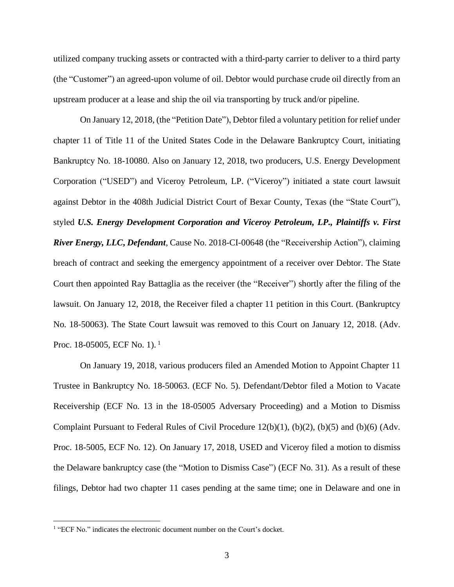utilized company trucking assets or contracted with a third-party carrier to deliver to a third party (the "Customer") an agreed-upon volume of oil. Debtor would purchase crude oil directly from an upstream producer at a lease and ship the oil via transporting by truck and/or pipeline.

On January 12, 2018, (the "Petition Date"), Debtor filed a voluntary petition for relief under chapter 11 of Title 11 of the United States Code in the Delaware Bankruptcy Court, initiating Bankruptcy No. 18-10080. Also on January 12, 2018, two producers, U.S. Energy Development Corporation ("USED") and Viceroy Petroleum, LP. ("Viceroy") initiated a state court lawsuit against Debtor in the 408th Judicial District Court of Bexar County, Texas (the "State Court"), styled *U.S. Energy Development Corporation and Viceroy Petroleum, LP., Plaintiffs v. First River Energy, LLC***,** *Defendant*, Cause No. 2018-CI-00648 (the "Receivership Action"), claiming breach of contract and seeking the emergency appointment of a receiver over Debtor. The State Court then appointed Ray Battaglia as the receiver (the "Receiver") shortly after the filing of the lawsuit. On January 12, 2018, the Receiver filed a chapter 11 petition in this Court. (Bankruptcy No. 18-50063). The State Court lawsuit was removed to this Court on January 12, 2018. (Adv. Proc. 18-05005, ECF No. 1).<sup>1</sup>

On January 19, 2018, various producers filed an Amended Motion to Appoint Chapter 11 Trustee in Bankruptcy No. 18-50063. (ECF No. 5). Defendant/Debtor filed a Motion to Vacate Receivership (ECF No. 13 in the 18-05005 Adversary Proceeding) and a Motion to Dismiss Complaint Pursuant to Federal Rules of Civil Procedure 12(b)(1), (b)(2), (b)(5) and (b)(6) (Adv. Proc. 18-5005, ECF No. 12). On January 17, 2018, USED and Viceroy filed a motion to dismiss the Delaware bankruptcy case (the "Motion to Dismiss Case") (ECF No. 31). As a result of these filings, Debtor had two chapter 11 cases pending at the same time; one in Delaware and one in

<sup>&</sup>lt;sup>1</sup> "ECF No." indicates the electronic document number on the Court's docket.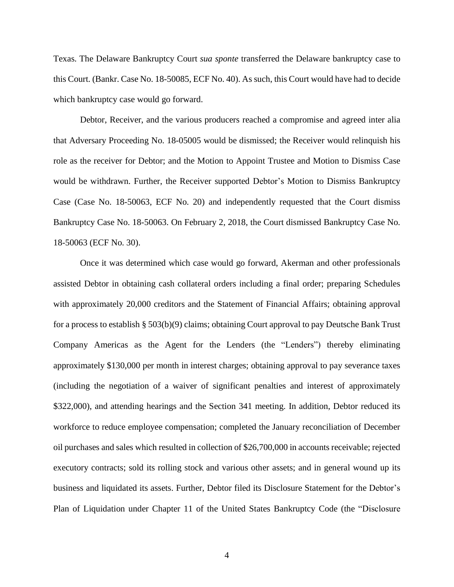Texas. The Delaware Bankruptcy Court *sua sponte* transferred the Delaware bankruptcy case to this Court. (Bankr. Case No. 18-50085, ECF No. 40). As such, this Court would have had to decide which bankruptcy case would go forward.

Debtor, Receiver, and the various producers reached a compromise and agreed inter alia that Adversary Proceeding No. 18-05005 would be dismissed; the Receiver would relinquish his role as the receiver for Debtor; and the Motion to Appoint Trustee and Motion to Dismiss Case would be withdrawn. Further, the Receiver supported Debtor's Motion to Dismiss Bankruptcy Case (Case No. 18-50063, ECF No. 20) and independently requested that the Court dismiss Bankruptcy Case No. 18-50063. On February 2, 2018, the Court dismissed Bankruptcy Case No. 18-50063 (ECF No. 30).

Once it was determined which case would go forward, Akerman and other professionals assisted Debtor in obtaining cash collateral orders including a final order; preparing Schedules with approximately 20,000 creditors and the Statement of Financial Affairs; obtaining approval for a process to establish § 503(b)(9) claims; obtaining Court approval to pay Deutsche Bank Trust Company Americas as the Agent for the Lenders (the "Lenders") thereby eliminating approximately \$130,000 per month in interest charges; obtaining approval to pay severance taxes (including the negotiation of a waiver of significant penalties and interest of approximately \$322,000), and attending hearings and the Section 341 meeting. In addition, Debtor reduced its workforce to reduce employee compensation; completed the January reconciliation of December oil purchases and sales which resulted in collection of \$26,700,000 in accounts receivable; rejected executory contracts; sold its rolling stock and various other assets; and in general wound up its business and liquidated its assets. Further, Debtor filed its Disclosure Statement for the Debtor's Plan of Liquidation under Chapter 11 of the United States Bankruptcy Code (the "Disclosure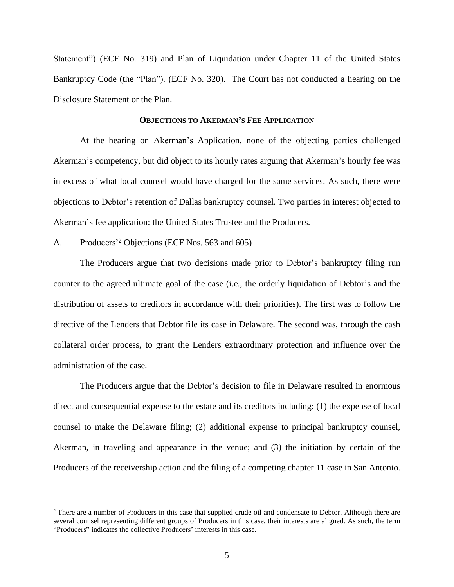Statement") (ECF No. 319) and Plan of Liquidation under Chapter 11 of the United States Bankruptcy Code (the "Plan"). (ECF No. 320). The Court has not conducted a hearing on the Disclosure Statement or the Plan.

## **OBJECTIONS TO AKERMAN'S FEE APPLICATION**

At the hearing on Akerman's Application, none of the objecting parties challenged Akerman's competency, but did object to its hourly rates arguing that Akerman's hourly fee was in excess of what local counsel would have charged for the same services. As such, there were objections to Debtor's retention of Dallas bankruptcy counsel. Two parties in interest objected to Akerman's fee application: the United States Trustee and the Producers.

# A. Producers'<sup>2</sup> Objections (ECF Nos. 563 and 605)

 $\overline{a}$ 

The Producers argue that two decisions made prior to Debtor's bankruptcy filing run counter to the agreed ultimate goal of the case (i.e., the orderly liquidation of Debtor's and the distribution of assets to creditors in accordance with their priorities). The first was to follow the directive of the Lenders that Debtor file its case in Delaware. The second was, through the cash collateral order process, to grant the Lenders extraordinary protection and influence over the administration of the case.

The Producers argue that the Debtor's decision to file in Delaware resulted in enormous direct and consequential expense to the estate and its creditors including: (1) the expense of local counsel to make the Delaware filing; (2) additional expense to principal bankruptcy counsel, Akerman, in traveling and appearance in the venue; and (3) the initiation by certain of the Producers of the receivership action and the filing of a competing chapter 11 case in San Antonio.

<sup>&</sup>lt;sup>2</sup> There are a number of Producers in this case that supplied crude oil and condensate to Debtor. Although there are several counsel representing different groups of Producers in this case, their interests are aligned. As such, the term "Producers" indicates the collective Producers' interests in this case.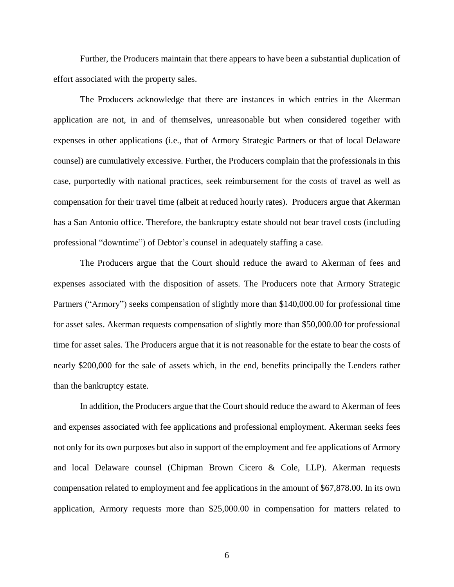Further, the Producers maintain that there appears to have been a substantial duplication of effort associated with the property sales.

The Producers acknowledge that there are instances in which entries in the Akerman application are not, in and of themselves, unreasonable but when considered together with expenses in other applications (i.e., that of Armory Strategic Partners or that of local Delaware counsel) are cumulatively excessive. Further, the Producers complain that the professionals in this case, purportedly with national practices, seek reimbursement for the costs of travel as well as compensation for their travel time (albeit at reduced hourly rates). Producers argue that Akerman has a San Antonio office. Therefore, the bankruptcy estate should not bear travel costs (including professional "downtime") of Debtor's counsel in adequately staffing a case.

The Producers argue that the Court should reduce the award to Akerman of fees and expenses associated with the disposition of assets. The Producers note that Armory Strategic Partners ("Armory") seeks compensation of slightly more than \$140,000.00 for professional time for asset sales. Akerman requests compensation of slightly more than \$50,000.00 for professional time for asset sales. The Producers argue that it is not reasonable for the estate to bear the costs of nearly \$200,000 for the sale of assets which, in the end, benefits principally the Lenders rather than the bankruptcy estate.

In addition, the Producers argue that the Court should reduce the award to Akerman of fees and expenses associated with fee applications and professional employment. Akerman seeks fees not only for its own purposes but also in support of the employment and fee applications of Armory and local Delaware counsel (Chipman Brown Cicero & Cole, LLP). Akerman requests compensation related to employment and fee applications in the amount of \$67,878.00. In its own application, Armory requests more than \$25,000.00 in compensation for matters related to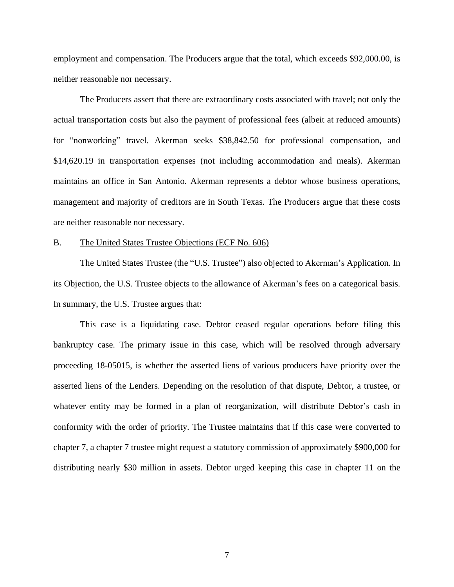employment and compensation. The Producers argue that the total, which exceeds \$92,000.00, is neither reasonable nor necessary.

The Producers assert that there are extraordinary costs associated with travel; not only the actual transportation costs but also the payment of professional fees (albeit at reduced amounts) for "nonworking" travel. Akerman seeks \$38,842.50 for professional compensation, and \$14,620.19 in transportation expenses (not including accommodation and meals). Akerman maintains an office in San Antonio. Akerman represents a debtor whose business operations, management and majority of creditors are in South Texas. The Producers argue that these costs are neither reasonable nor necessary.

#### B. The United States Trustee Objections (ECF No. 606)

The United States Trustee (the "U.S. Trustee") also objected to Akerman's Application. In its Objection, the U.S. Trustee objects to the allowance of Akerman's fees on a categorical basis. In summary, the U.S. Trustee argues that:

This case is a liquidating case. Debtor ceased regular operations before filing this bankruptcy case. The primary issue in this case, which will be resolved through adversary proceeding 18-05015, is whether the asserted liens of various producers have priority over the asserted liens of the Lenders. Depending on the resolution of that dispute, Debtor, a trustee, or whatever entity may be formed in a plan of reorganization, will distribute Debtor's cash in conformity with the order of priority. The Trustee maintains that if this case were converted to chapter 7, a chapter 7 trustee might request a statutory commission of approximately \$900,000 for distributing nearly \$30 million in assets. Debtor urged keeping this case in chapter 11 on the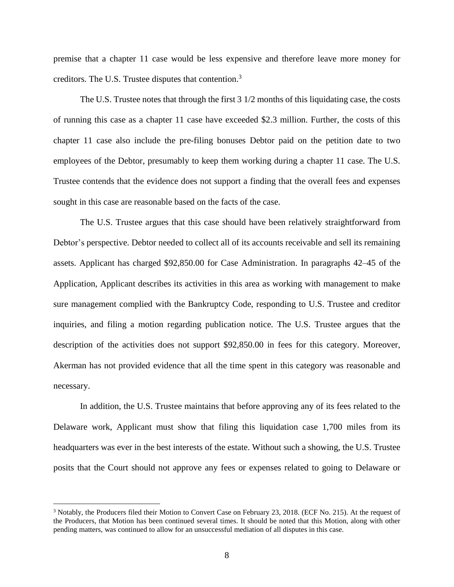premise that a chapter 11 case would be less expensive and therefore leave more money for creditors. The U.S. Trustee disputes that contention.<sup>3</sup>

The U.S. Trustee notes that through the first 3 1/2 months of this liquidating case, the costs of running this case as a chapter 11 case have exceeded \$2.3 million. Further, the costs of this chapter 11 case also include the pre-filing bonuses Debtor paid on the petition date to two employees of the Debtor, presumably to keep them working during a chapter 11 case. The U.S. Trustee contends that the evidence does not support a finding that the overall fees and expenses sought in this case are reasonable based on the facts of the case.

The U.S. Trustee argues that this case should have been relatively straightforward from Debtor's perspective. Debtor needed to collect all of its accounts receivable and sell its remaining assets. Applicant has charged \$92,850.00 for Case Administration. In paragraphs 42–45 of the Application, Applicant describes its activities in this area as working with management to make sure management complied with the Bankruptcy Code, responding to U.S. Trustee and creditor inquiries, and filing a motion regarding publication notice. The U.S. Trustee argues that the description of the activities does not support \$92,850.00 in fees for this category. Moreover, Akerman has not provided evidence that all the time spent in this category was reasonable and necessary.

In addition, the U.S. Trustee maintains that before approving any of its fees related to the Delaware work, Applicant must show that filing this liquidation case 1,700 miles from its headquarters was ever in the best interests of the estate. Without such a showing, the U.S. Trustee posits that the Court should not approve any fees or expenses related to going to Delaware or

<sup>3</sup> Notably, the Producers filed their Motion to Convert Case on February 23, 2018. (ECF No. 215). At the request of the Producers, that Motion has been continued several times. It should be noted that this Motion, along with other pending matters, was continued to allow for an unsuccessful mediation of all disputes in this case.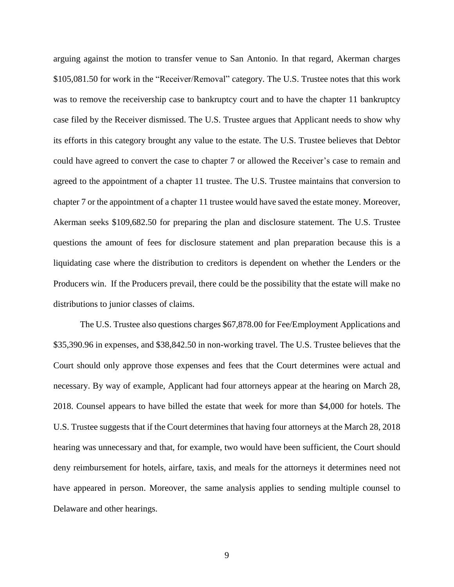arguing against the motion to transfer venue to San Antonio. In that regard, Akerman charges \$105,081.50 for work in the "Receiver/Removal" category. The U.S. Trustee notes that this work was to remove the receivership case to bankruptcy court and to have the chapter 11 bankruptcy case filed by the Receiver dismissed. The U.S. Trustee argues that Applicant needs to show why its efforts in this category brought any value to the estate. The U.S. Trustee believes that Debtor could have agreed to convert the case to chapter 7 or allowed the Receiver's case to remain and agreed to the appointment of a chapter 11 trustee. The U.S. Trustee maintains that conversion to chapter 7 or the appointment of a chapter 11 trustee would have saved the estate money. Moreover, Akerman seeks \$109,682.50 for preparing the plan and disclosure statement. The U.S. Trustee questions the amount of fees for disclosure statement and plan preparation because this is a liquidating case where the distribution to creditors is dependent on whether the Lenders or the Producers win. If the Producers prevail, there could be the possibility that the estate will make no distributions to junior classes of claims.

The U.S. Trustee also questions charges \$67,878.00 for Fee/Employment Applications and \$35,390.96 in expenses, and \$38,842.50 in non-working travel. The U.S. Trustee believes that the Court should only approve those expenses and fees that the Court determines were actual and necessary. By way of example, Applicant had four attorneys appear at the hearing on March 28, 2018. Counsel appears to have billed the estate that week for more than \$4,000 for hotels. The U.S. Trustee suggests that if the Court determines that having four attorneys at the March 28, 2018 hearing was unnecessary and that, for example, two would have been sufficient, the Court should deny reimbursement for hotels, airfare, taxis, and meals for the attorneys it determines need not have appeared in person. Moreover, the same analysis applies to sending multiple counsel to Delaware and other hearings.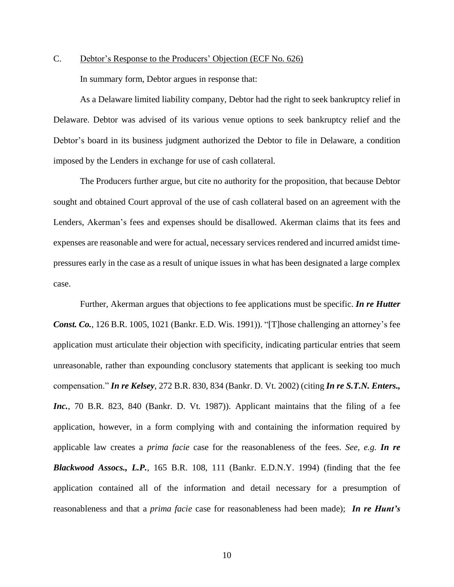C. Debtor's Response to the Producers' Objection (ECF No. 626) In summary form, Debtor argues in response that:

As a Delaware limited liability company, Debtor had the right to seek bankruptcy relief in Delaware. Debtor was advised of its various venue options to seek bankruptcy relief and the Debtor's board in its business judgment authorized the Debtor to file in Delaware, a condition imposed by the Lenders in exchange for use of cash collateral.

The Producers further argue, but cite no authority for the proposition, that because Debtor sought and obtained Court approval of the use of cash collateral based on an agreement with the Lenders, Akerman's fees and expenses should be disallowed. Akerman claims that its fees and expenses are reasonable and were for actual, necessary services rendered and incurred amidst timepressures early in the case as a result of unique issues in what has been designated a large complex case.

Further, Akerman argues that objections to fee applications must be specific. *In re Hutter Const. Co.*, 126 B.R. 1005, 1021 (Bankr. E.D. Wis. 1991)). "[T]hose challenging an attorney's fee application must articulate their objection with specificity, indicating particular entries that seem unreasonable, rather than expounding conclusory statements that applicant is seeking too much compensation." *In re Kelsey*, 272 B.R. 830, 834 (Bankr. D. Vt. 2002) (citing *In re S.T.N. Enters., Inc.*, 70 B.R. 823, 840 (Bankr. D. Vt. 1987)). Applicant maintains that the filing of a fee application, however, in a form complying with and containing the information required by applicable law creates a *prima facie* case for the reasonableness of the fees. *See, e.g. In re Blackwood Assocs., L.P.*, 165 B.R. 108, 111 (Bankr. E.D.N.Y. 1994) (finding that the fee application contained all of the information and detail necessary for a presumption of reasonableness and that a *prima facie* case for reasonableness had been made); *In re Hunt's*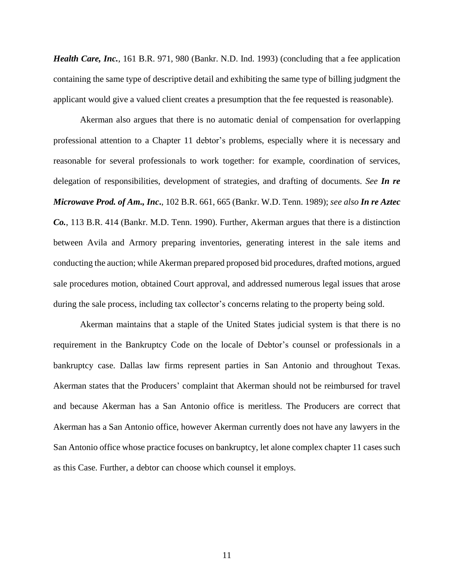*Health Care, Inc.*, 161 B.R. 971, 980 (Bankr. N.D. Ind. 1993) (concluding that a fee application containing the same type of descriptive detail and exhibiting the same type of billing judgment the applicant would give a valued client creates a presumption that the fee requested is reasonable).

Akerman also argues that there is no automatic denial of compensation for overlapping professional attention to a Chapter 11 debtor's problems, especially where it is necessary and reasonable for several professionals to work together: for example, coordination of services, delegation of responsibilities, development of strategies, and drafting of documents. *See In re Microwave Prod. of Am., Inc***.**, 102 B.R. 661, 665 (Bankr. W.D. Tenn. 1989); *see also In re Aztec Co.*, 113 B.R. 414 (Bankr. M.D. Tenn. 1990). Further, Akerman argues that there is a distinction between Avila and Armory preparing inventories, generating interest in the sale items and conducting the auction; while Akerman prepared proposed bid procedures, drafted motions, argued sale procedures motion, obtained Court approval, and addressed numerous legal issues that arose during the sale process, including tax collector's concerns relating to the property being sold.

Akerman maintains that a staple of the United States judicial system is that there is no requirement in the Bankruptcy Code on the locale of Debtor's counsel or professionals in a bankruptcy case. Dallas law firms represent parties in San Antonio and throughout Texas. Akerman states that the Producers' complaint that Akerman should not be reimbursed for travel and because Akerman has a San Antonio office is meritless. The Producers are correct that Akerman has a San Antonio office, however Akerman currently does not have any lawyers in the San Antonio office whose practice focuses on bankruptcy, let alone complex chapter 11 cases such as this Case. Further, a debtor can choose which counsel it employs.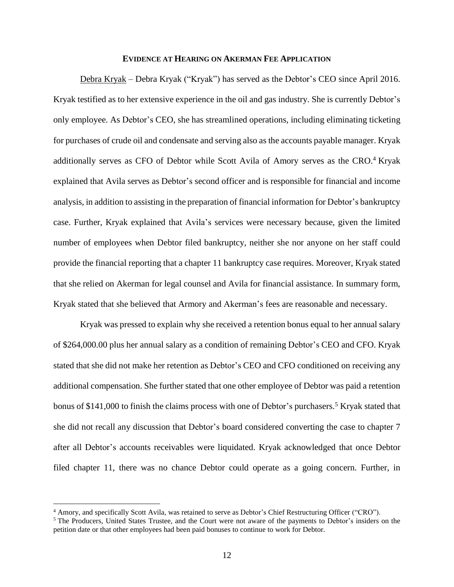### **EVIDENCE AT HEARING ON AKERMAN FEE APPLICATION**

Debra Kryak – Debra Kryak ("Kryak") has served as the Debtor's CEO since April 2016. Kryak testified as to her extensive experience in the oil and gas industry. She is currently Debtor's only employee. As Debtor's CEO, she has streamlined operations, including eliminating ticketing for purchases of crude oil and condensate and serving also as the accounts payable manager. Kryak additionally serves as CFO of Debtor while Scott Avila of Amory serves as the CRO.<sup>4</sup> Kryak explained that Avila serves as Debtor's second officer and is responsible for financial and income analysis, in addition to assisting in the preparation of financial information for Debtor's bankruptcy case. Further, Kryak explained that Avila's services were necessary because, given the limited number of employees when Debtor filed bankruptcy, neither she nor anyone on her staff could provide the financial reporting that a chapter 11 bankruptcy case requires. Moreover, Kryak stated that she relied on Akerman for legal counsel and Avila for financial assistance. In summary form, Kryak stated that she believed that Armory and Akerman's fees are reasonable and necessary.

Kryak was pressed to explain why she received a retention bonus equal to her annual salary of \$264,000.00 plus her annual salary as a condition of remaining Debtor's CEO and CFO. Kryak stated that she did not make her retention as Debtor's CEO and CFO conditioned on receiving any additional compensation. She further stated that one other employee of Debtor was paid a retention bonus of \$141,000 to finish the claims process with one of Debtor's purchasers.<sup>5</sup> Kryak stated that she did not recall any discussion that Debtor's board considered converting the case to chapter 7 after all Debtor's accounts receivables were liquidated. Kryak acknowledged that once Debtor filed chapter 11, there was no chance Debtor could operate as a going concern. Further, in

<sup>4</sup> Amory, and specifically Scott Avila, was retained to serve as Debtor's Chief Restructuring Officer ("CRO").

<sup>&</sup>lt;sup>5</sup> The Producers, United States Trustee, and the Court were not aware of the payments to Debtor's insiders on the petition date or that other employees had been paid bonuses to continue to work for Debtor.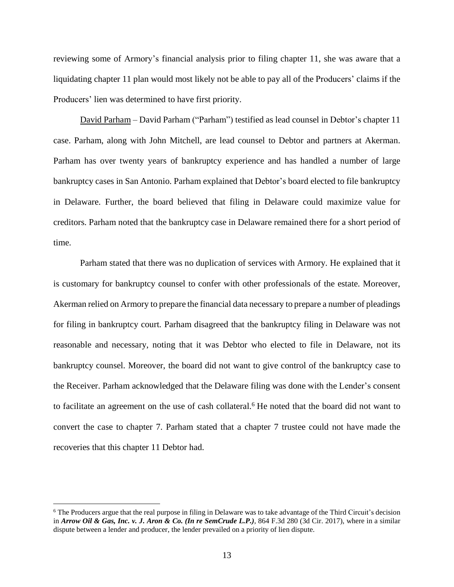reviewing some of Armory's financial analysis prior to filing chapter 11, she was aware that a liquidating chapter 11 plan would most likely not be able to pay all of the Producers' claims if the Producers' lien was determined to have first priority.

David Parham – David Parham ("Parham") testified as lead counsel in Debtor's chapter 11 case. Parham, along with John Mitchell, are lead counsel to Debtor and partners at Akerman. Parham has over twenty years of bankruptcy experience and has handled a number of large bankruptcy cases in San Antonio. Parham explained that Debtor's board elected to file bankruptcy in Delaware. Further, the board believed that filing in Delaware could maximize value for creditors. Parham noted that the bankruptcy case in Delaware remained there for a short period of time.

Parham stated that there was no duplication of services with Armory. He explained that it is customary for bankruptcy counsel to confer with other professionals of the estate. Moreover, Akerman relied on Armory to prepare the financial data necessary to prepare a number of pleadings for filing in bankruptcy court. Parham disagreed that the bankruptcy filing in Delaware was not reasonable and necessary, noting that it was Debtor who elected to file in Delaware, not its bankruptcy counsel. Moreover, the board did not want to give control of the bankruptcy case to the Receiver. Parham acknowledged that the Delaware filing was done with the Lender's consent to facilitate an agreement on the use of cash collateral.<sup>6</sup> He noted that the board did not want to convert the case to chapter 7. Parham stated that a chapter 7 trustee could not have made the recoveries that this chapter 11 Debtor had.

<sup>6</sup> The Producers argue that the real purpose in filing in Delaware was to take advantage of the Third Circuit's decision in *Arrow Oil & Gas, Inc. v. J. Aron & Co. (In re SemCrude L.P.)*, 864 F.3d 280 (3d Cir. 2017), where in a similar dispute between a lender and producer, the lender prevailed on a priority of lien dispute.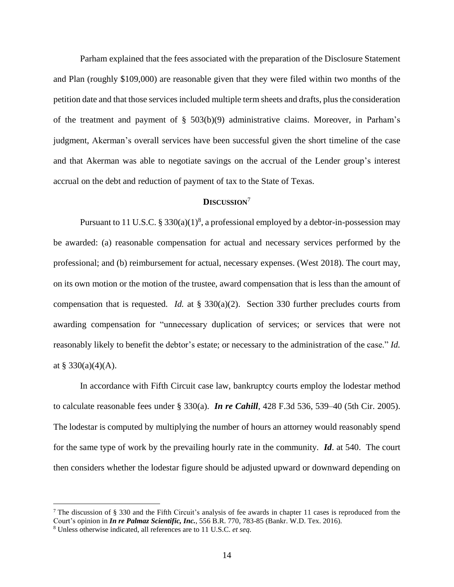Parham explained that the fees associated with the preparation of the Disclosure Statement and Plan (roughly \$109,000) are reasonable given that they were filed within two months of the petition date and that those services included multiple term sheets and drafts, plusthe consideration of the treatment and payment of § 503(b)(9) administrative claims. Moreover, in Parham's judgment, Akerman's overall services have been successful given the short timeline of the case and that Akerman was able to negotiate savings on the accrual of the Lender group's interest accrual on the debt and reduction of payment of tax to the State of Texas.

# **DISCUSSION**<sup>7</sup>

Pursuant to 11 U.S.C.  $\S 330(a)(1)^8$ , a professional employed by a debtor-in-possession may be awarded: (a) reasonable compensation for actual and necessary services performed by the professional; and (b) reimbursement for actual, necessary expenses. (West 2018). The court may, on its own motion or the motion of the trustee, award compensation that is less than the amount of compensation that is requested. *Id.* at § 330(a)(2). Section 330 further precludes courts from awarding compensation for "unnecessary duplication of services; or services that were not reasonably likely to benefit the debtor's estate; or necessary to the administration of the case." *Id.* at § 330(a)(4)(A).

In accordance with Fifth Circuit case law, bankruptcy courts employ the lodestar method to calculate reasonable fees under § 330(a). *In re Cahill*, 428 F.3d 536, 539–40 (5th Cir. 2005). The lodestar is computed by multiplying the number of hours an attorney would reasonably spend for the same type of work by the prevailing hourly rate in the community. *Id*. at 540. The court then considers whether the lodestar figure should be adjusted upward or downward depending on

<sup>&</sup>lt;sup>7</sup> The discussion of § 330 and the Fifth Circuit's analysis of fee awards in chapter 11 cases is reproduced from the Court's opinion in *In re Palmaz Scientific, Inc.*, 556 B.R. 770, 783-85 (Bankr. W.D. Tex. 2016).

<sup>8</sup> Unless otherwise indicated, all references are to 11 U.S.C. *et seq*.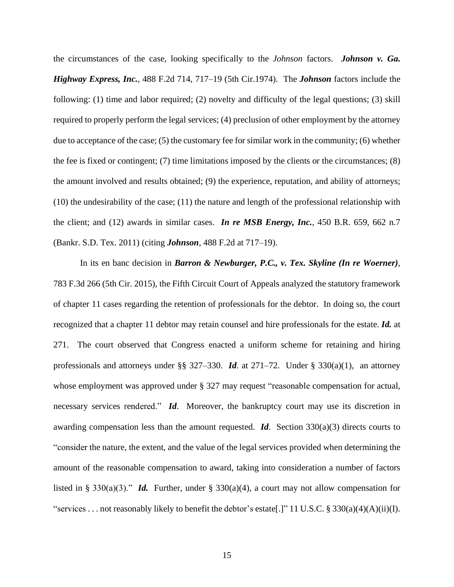the circumstances of the case, looking specifically to the *Johnson* factors. *Johnson v. Ga. Highway Express, Inc.*, 488 F.2d 714, 717–19 (5th Cir.1974). The *Johnson* factors include the following: (1) time and labor required; (2) novelty and difficulty of the legal questions; (3) skill required to properly perform the legal services; (4) preclusion of other employment by the attorney due to acceptance of the case; (5) the customary fee for similar work in the community; (6) whether the fee is fixed or contingent; (7) time limitations imposed by the clients or the circumstances; (8) the amount involved and results obtained; (9) the experience, reputation, and ability of attorneys; (10) the undesirability of the case; (11) the nature and length of the professional relationship with the client; and (12) awards in similar cases. *In re MSB Energy, Inc.*, 450 B.R. 659, 662 n.7 (Bankr. S.D. Tex. 2011) (citing *Johnson*, 488 F.2d at 717–19).

In its en banc decision in *Barron & Newburger, P.C., v. Tex. Skyline (In re Woerner)*, 783 F.3d 266 (5th Cir. 2015), the Fifth Circuit Court of Appeals analyzed the statutory framework of chapter 11 cases regarding the retention of professionals for the debtor. In doing so, the court recognized that a chapter 11 debtor may retain counsel and hire professionals for the estate. *Id.* at 271. The court observed that Congress enacted a uniform scheme for retaining and hiring professionals and attorneys under §§ 327–330. *Id*. at 271–72. Under § 330(a)(1), an attorney whose employment was approved under § 327 may request "reasonable compensation for actual, necessary services rendered." *Id*. Moreover, the bankruptcy court may use its discretion in awarding compensation less than the amount requested. *Id*. Section 330(a)(3) directs courts to "consider the nature, the extent, and the value of the legal services provided when determining the amount of the reasonable compensation to award, taking into consideration a number of factors listed in § 330(a)(3)." *Id.* Further, under § 330(a)(4), a court may not allow compensation for "services . . . not reasonably likely to benefit the debtor's estate[.]" 11 U.S.C. § 330(a)(4)(A)(ii)(I).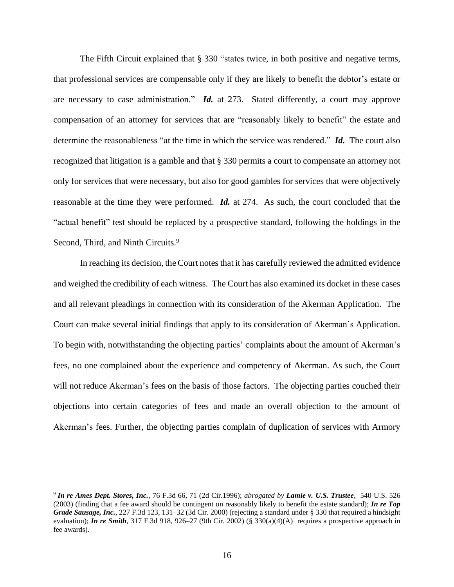The Fifth Circuit explained that § 330 "states twice, in both positive and negative terms, that professional services are compensable only if they are likely to benefit the debtor's estate or are necessary to case administration." *Id.* at 273.Stated differently, a court may approve compensation of an attorney for services that are "reasonably likely to benefit" the estate and determine the reasonableness "at the time in which the service was rendered." *Id.* The court also recognized that litigation is a gamble and that § 330 permits a court to compensate an attorney not only for services that were necessary, but also for good gambles for services that were objectively reasonable at the time they were performed. *Id.* at 274. As such, the court concluded that the "actual benefit" test should be replaced by a prospective standard, following the holdings in the Second, Third, and Ninth Circuits.<sup>9</sup>

In reaching its decision, the Court notes that it has carefully reviewed the admitted evidence and weighed the credibility of each witness. The Court has also examined its docket in these cases and all relevant pleadings in connection with its consideration of the Akerman Application. The Court can make several initial findings that apply to its consideration of Akerman's Application. To begin with, notwithstanding the objecting parties' complaints about the amount of Akerman's fees, no one complained about the experience and competency of Akerman. As such, the Court will not reduce Akerman's fees on the basis of those factors. The objecting parties couched their objections into certain categories of fees and made an overall objection to the amount of Akerman's fees. Further, the objecting parties complain of duplication of services with Armory

<sup>9</sup> *In re Ames Dept. Stores, Inc.*, 76 F.3d 66, 71 (2d Cir.1996); *abrogated by Lamie v. U.S. Trustee*, 540 U.S. 526 (2003) (finding that a fee award should be contingent on reasonably likely to benefit the estate standard); *In re Top Grade Sausage, Inc.*, 227 F.3d 123, 131–32 (3d Cir. 2000) (rejecting a standard under § 330 that required a hindsight evaluation); *In re Smith*, 317 F.3d 918, 926–27 (9th Cir. 2002) (§ 330(a)(4)(A) requires a prospective approach in fee awards).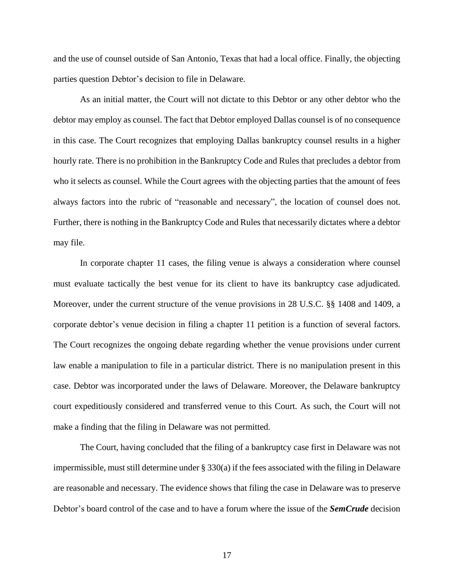and the use of counsel outside of San Antonio, Texas that had a local office. Finally, the objecting parties question Debtor's decision to file in Delaware.

As an initial matter, the Court will not dictate to this Debtor or any other debtor who the debtor may employ as counsel. The fact that Debtor employed Dallas counsel is of no consequence in this case. The Court recognizes that employing Dallas bankruptcy counsel results in a higher hourly rate. There is no prohibition in the Bankruptcy Code and Rules that precludes a debtor from who it selects as counsel. While the Court agrees with the objecting parties that the amount of fees always factors into the rubric of "reasonable and necessary", the location of counsel does not. Further, there is nothing in the Bankruptcy Code and Rules that necessarily dictates where a debtor may file.

In corporate chapter 11 cases, the filing venue is always a consideration where counsel must evaluate tactically the best venue for its client to have its bankruptcy case adjudicated. Moreover, under the current structure of the venue provisions in 28 U.S.C. §§ 1408 and 1409, a corporate debtor's venue decision in filing a chapter 11 petition is a function of several factors. The Court recognizes the ongoing debate regarding whether the venue provisions under current law enable a manipulation to file in a particular district. There is no manipulation present in this case. Debtor was incorporated under the laws of Delaware. Moreover, the Delaware bankruptcy court expeditiously considered and transferred venue to this Court. As such, the Court will not make a finding that the filing in Delaware was not permitted.

The Court, having concluded that the filing of a bankruptcy case first in Delaware was not impermissible, must still determine under  $\S 330(a)$  if the fees associated with the filing in Delaware are reasonable and necessary. The evidence shows that filing the case in Delaware was to preserve Debtor's board control of the case and to have a forum where the issue of the *SemCrude* decision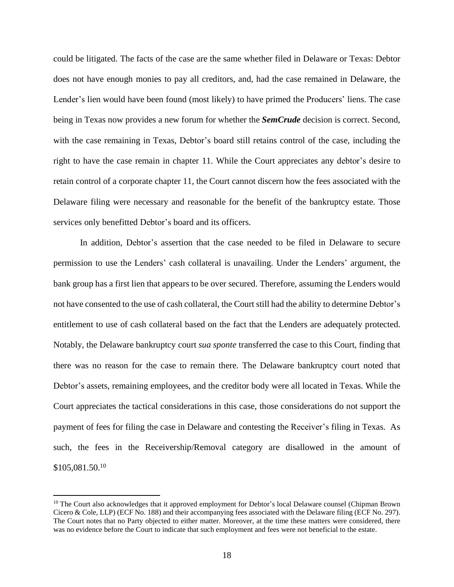could be litigated. The facts of the case are the same whether filed in Delaware or Texas: Debtor does not have enough monies to pay all creditors, and, had the case remained in Delaware, the Lender's lien would have been found (most likely) to have primed the Producers' liens. The case being in Texas now provides a new forum for whether the *SemCrude* decision is correct. Second, with the case remaining in Texas, Debtor's board still retains control of the case, including the right to have the case remain in chapter 11. While the Court appreciates any debtor's desire to retain control of a corporate chapter 11, the Court cannot discern how the fees associated with the Delaware filing were necessary and reasonable for the benefit of the bankruptcy estate. Those services only benefitted Debtor's board and its officers.

In addition, Debtor's assertion that the case needed to be filed in Delaware to secure permission to use the Lenders' cash collateral is unavailing. Under the Lenders' argument, the bank group has a first lien that appears to be over secured. Therefore, assuming the Lenders would not have consented to the use of cash collateral, the Court still had the ability to determine Debtor's entitlement to use of cash collateral based on the fact that the Lenders are adequately protected. Notably, the Delaware bankruptcy court *sua sponte* transferred the case to this Court, finding that there was no reason for the case to remain there. The Delaware bankruptcy court noted that Debtor's assets, remaining employees, and the creditor body were all located in Texas. While the Court appreciates the tactical considerations in this case, those considerations do not support the payment of fees for filing the case in Delaware and contesting the Receiver's filing in Texas. As such, the fees in the Receivership/Removal category are disallowed in the amount of \$105,081.50.<sup>10</sup>

<sup>&</sup>lt;sup>10</sup> The Court also acknowledges that it approved employment for Debtor's local Delaware counsel (Chipman Brown Cicero & Cole, LLP) (ECF No. 188) and their accompanying fees associated with the Delaware filing (ECF No. 297). The Court notes that no Party objected to either matter. Moreover, at the time these matters were considered, there was no evidence before the Court to indicate that such employment and fees were not beneficial to the estate.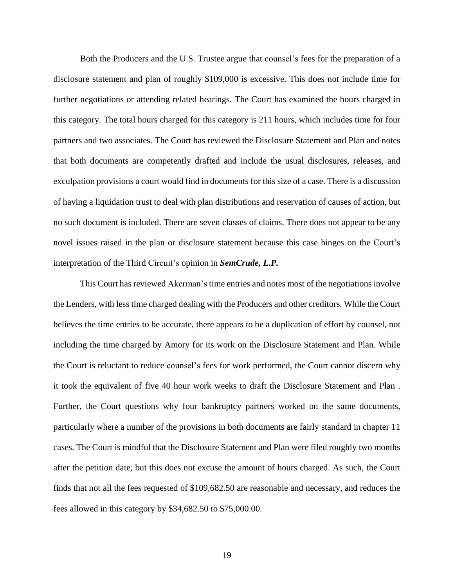Both the Producers and the U.S. Trustee argue that counsel's fees for the preparation of a disclosure statement and plan of roughly \$109,000 is excessive. This does not include time for further negotiations or attending related hearings. The Court has examined the hours charged in this category. The total hours charged for this category is 211 hours, which includes time for four partners and two associates. The Court has reviewed the Disclosure Statement and Plan and notes that both documents are competently drafted and include the usual disclosures, releases, and exculpation provisions a court would find in documents for this size of a case. There is a discussion of having a liquidation trust to deal with plan distributions and reservation of causes of action, but no such document is included. There are seven classes of claims. There does not appear to be any novel issues raised in the plan or disclosure statement because this case hinges on the Court's interpretation of the Third Circuit's opinion in *SemCrude, L.P.*

This Court has reviewed Akerman's time entries and notes most of the negotiations involve the Lenders, with less time charged dealing with the Producers and other creditors. While the Court believes the time entries to be accurate, there appears to be a duplication of effort by counsel, not including the time charged by Amory for its work on the Disclosure Statement and Plan. While the Court is reluctant to reduce counsel's fees for work performed, the Court cannot discern why it took the equivalent of five 40 hour work weeks to draft the Disclosure Statement and Plan . Further, the Court questions why four bankruptcy partners worked on the same documents, particularly where a number of the provisions in both documents are fairly standard in chapter 11 cases. The Court is mindful that the Disclosure Statement and Plan were filed roughly two months after the petition date, but this does not excuse the amount of hours charged. As such, the Court finds that not all the fees requested of \$109,682.50 are reasonable and necessary, and reduces the fees allowed in this category by \$34,682.50 to \$75,000.00.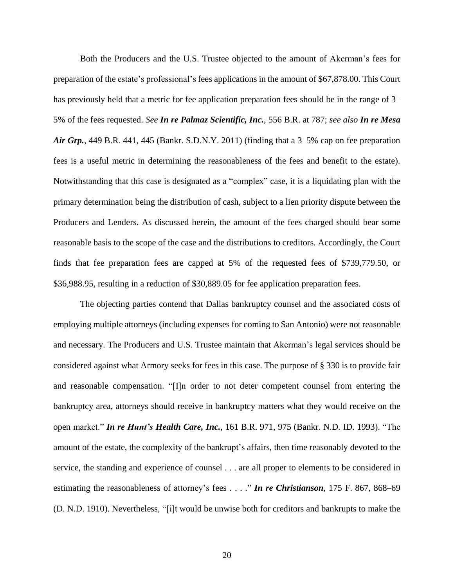Both the Producers and the U.S. Trustee objected to the amount of Akerman's fees for preparation of the estate's professional's fees applications in the amount of \$67,878.00. This Court has previously held that a metric for fee application preparation fees should be in the range of 3– 5% of the fees requested. *See In re Palmaz Scientific, Inc.*, 556 B.R. at 787; *see also In re Mesa Air Grp.*, 449 B.R. 441, 445 (Bankr. S.D.N.Y. 2011) (finding that a 3–5% cap on fee preparation fees is a useful metric in determining the reasonableness of the fees and benefit to the estate). Notwithstanding that this case is designated as a "complex" case, it is a liquidating plan with the primary determination being the distribution of cash, subject to a lien priority dispute between the Producers and Lenders. As discussed herein, the amount of the fees charged should bear some reasonable basis to the scope of the case and the distributions to creditors. Accordingly, the Court finds that fee preparation fees are capped at 5% of the requested fees of \$739,779.50, or \$36,988.95, resulting in a reduction of \$30,889.05 for fee application preparation fees.

The objecting parties contend that Dallas bankruptcy counsel and the associated costs of employing multiple attorneys (including expenses for coming to San Antonio) were not reasonable and necessary. The Producers and U.S. Trustee maintain that Akerman's legal services should be considered against what Armory seeks for fees in this case. The purpose of § 330 is to provide fair and reasonable compensation. "[I]n order to not deter competent counsel from entering the bankruptcy area, attorneys should receive in bankruptcy matters what they would receive on the open market." *In re Hunt's Health Care, Inc.*, 161 B.R. 971, 975 (Bankr. N.D. ID. 1993). "The amount of the estate, the complexity of the bankrupt's affairs, then time reasonably devoted to the service, the standing and experience of counsel . . . are all proper to elements to be considered in estimating the reasonableness of attorney's fees . . . ." *In re Christianson*, 175 F. 867, 868–69 (D. N.D. 1910). Nevertheless, "[i]t would be unwise both for creditors and bankrupts to make the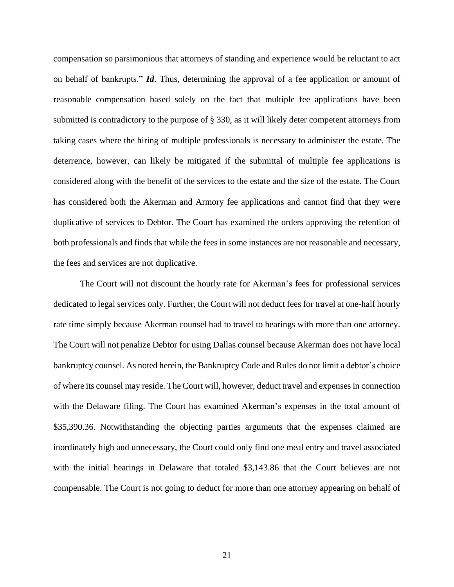compensation so parsimonious that attorneys of standing and experience would be reluctant to act on behalf of bankrupts." *Id*. Thus, determining the approval of a fee application or amount of reasonable compensation based solely on the fact that multiple fee applications have been submitted is contradictory to the purpose of § 330, as it will likely deter competent attorneys from taking cases where the hiring of multiple professionals is necessary to administer the estate. The deterrence, however, can likely be mitigated if the submittal of multiple fee applications is considered along with the benefit of the services to the estate and the size of the estate. The Court has considered both the Akerman and Armory fee applications and cannot find that they were duplicative of services to Debtor. The Court has examined the orders approving the retention of both professionals and finds that while the fees in some instances are not reasonable and necessary, the fees and services are not duplicative.

The Court will not discount the hourly rate for Akerman's fees for professional services dedicated to legal services only. Further, the Court will not deduct fees for travel at one-half hourly rate time simply because Akerman counsel had to travel to hearings with more than one attorney. The Court will not penalize Debtor for using Dallas counsel because Akerman does not have local bankruptcy counsel. As noted herein, the Bankruptcy Code and Rules do not limit a debtor's choice of where its counsel may reside. The Court will, however, deduct travel and expenses in connection with the Delaware filing. The Court has examined Akerman's expenses in the total amount of \$35,390.36. Notwithstanding the objecting parties arguments that the expenses claimed are inordinately high and unnecessary, the Court could only find one meal entry and travel associated with the initial hearings in Delaware that totaled \$3,143.86 that the Court believes are not compensable. The Court is not going to deduct for more than one attorney appearing on behalf of